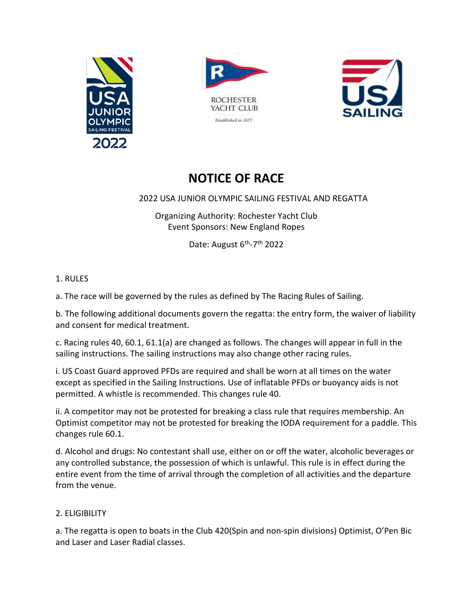





# **NOTICE OF RACE**

## 2022 USA JUNIOR OLYMPIC SAILING FESTIVAL AND REGATTA

Organizing Authority: Rochester Yacht Club Event Sponsors: New England Ropes

Date: August 6<sup>th</sup>-7<sup>th</sup> 2022

## 1. RULES

a. The race will be governed by the rules as defined by The Racing Rules of Sailing.

b. The following additional documents govern the regatta: the entry form, the waiver of liability and consent for medical treatment.

c. Racing rules 40, 60.1, 61.1(a) are changed as follows. The changes will appear in full in the sailing instructions. The sailing instructions may also change other racing rules.

i. US Coast Guard approved PFDs are required and shall be worn at all times on the water except as specified in the Sailing Instructions. Use of inflatable PFDs or buoyancy aids is not permitted. A whistle is recommended. This changes rule 40.

ii. A competitor may not be protested for breaking a class rule that requires membership. An Optimist competitor may not be protested for breaking the IODA requirement for a paddle. This changes rule 60.1.

d. Alcohol and drugs: No contestant shall use, either on or off the water, alcoholic beverages or any controlled substance, the possession of which is unlawful. This rule is in effect during the entire event from the time of arrival through the completion of all activities and the departure from the venue.

# 2. ELIGIBILITY

a. The regatta is open to boats in the Club 420(Spin and non-spin divisions) Optimist, O'Pen Bic and Laser and Laser Radial classes.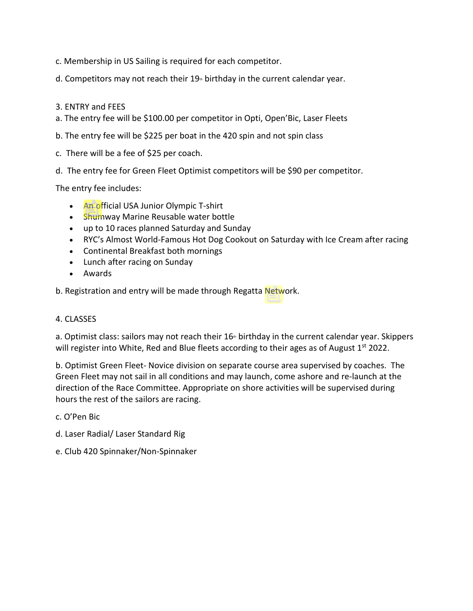- c. Membership in US Sailing is required for each competitor.
- d. Competitors may not reach their  $19<sup>th</sup>$  birthday in the current calendar year.
- 3. ENTRY and FEES
- a. The entry fee will be \$100.00 per competitor in Opti, Open'Bic, Laser Fleets
- b. The entry fee will be \$225 per boat in the 420 spin and not spin class
- c. There will be a fee of \$25 per coach.
- d. The entry fee for Green Fleet Optimist competitors will be \$90 per competitor.

The entry fee includes:

- An official USA Junior Olympic T-shirt
- Shumway Marine Reusable water bottle
- up to 10 races planned Saturday and Sunday
- RYC's Almost World-Famous Hot Dog Cookout on Saturday with Ice Cream after racing
- Continental Breakfast both mornings
- Lunch after racing on Sunday
- Awards
- b. Registration and entry will be made through Regatta Network.

#### 4. CLASSES

a. Optimist class: sailors may not reach their  $16<sup>*</sup>$  birthday in the current calendar year. Skippers will register into White, Red and Blue fleets according to their ages as of August 1<sup>st</sup> 2022.

b. Optimist Green Fleet- Novice division on separate course area supervised by coaches. The Green Fleet may not sail in all conditions and may launch, come ashore and re-launch at the direction of the Race Committee. Appropriate on shore activities will be supervised during hours the rest of the sailors are racing.

c. O'Pen Bic

- d. Laser Radial/ Laser Standard Rig
- e. Club 420 Spinnaker/Non-Spinnaker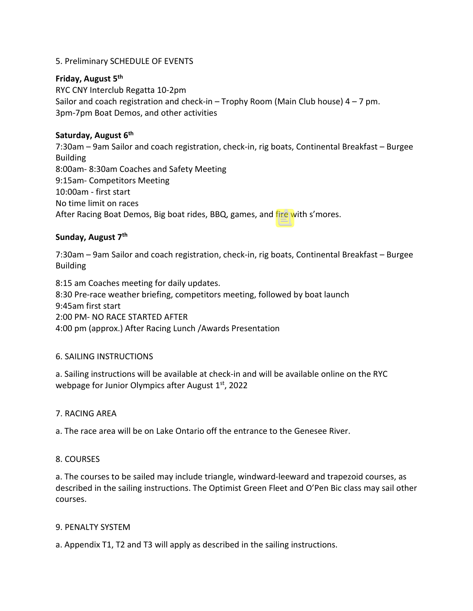## 5. Preliminary SCHEDULE OF EVENTS

#### **Friday, August 5th**

RYC CNY Interclub Regatta 10-2pm Sailor and coach registration and check-in – Trophy Room (Main Club house)  $4 - 7$  pm. 3pm-7pm Boat Demos, and other activities

#### **Saturday, August 6th**

7:30am – 9am Sailor and coach registration, check-in, rig boats, Continental Breakfast – Burgee Building 8:00am- 8:30am Coaches and Safety Meeting 9:15am- Competitors Meeting 10:00am - first start No time limit on races After Racing Boat Demos, Big boat rides, BBQ, games, and fire with s'mores.

## **Sunday, August 7th**

7:30am – 9am Sailor and coach registration, check-in, rig boats, Continental Breakfast – Burgee Building

8:15 am Coaches meeting for daily updates. 8:30 Pre-race weather briefing, competitors meeting, followed by boat launch 9:45am first start 2:00 PM- NO RACE STARTED AFTER 4:00 pm (approx.) After Racing Lunch /Awards Presentation

## 6. SAILING INSTRUCTIONS

a. Sailing instructions will be available at check-in and will be available online on the RYC webpage for Junior Olympics after August 1st, 2022

#### 7. RACING AREA

a. The race area will be on Lake Ontario off the entrance to the Genesee River.

#### 8. COURSES

a. The courses to be sailed may include triangle, windward-leeward and trapezoid courses, as described in the sailing instructions. The Optimist Green Fleet and O'Pen Bic class may sail other courses.

#### 9. PENALTY SYSTEM

a. Appendix T1, T2 and T3 will apply as described in the sailing instructions.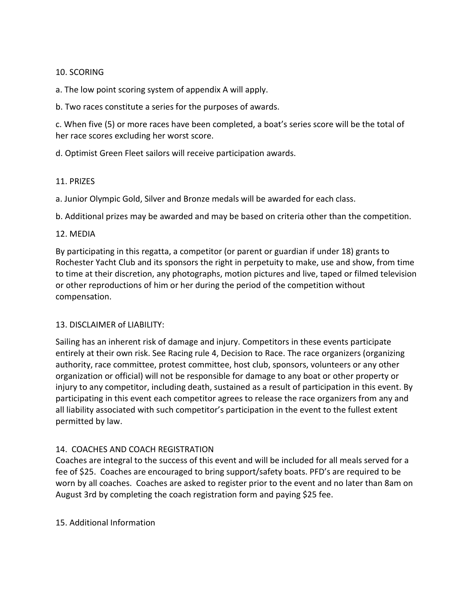## 10. SCORING

a. The low point scoring system of appendix A will apply.

b. Two races constitute a series for the purposes of awards.

c. When five (5) or more races have been completed, a boat's series score will be the total of her race scores excluding her worst score.

d. Optimist Green Fleet sailors will receive participation awards.

#### 11. PRIZES

a. Junior Olympic Gold, Silver and Bronze medals will be awarded for each class.

b. Additional prizes may be awarded and may be based on criteria other than the competition.

#### 12. MEDIA

By participating in this regatta, a competitor (or parent or guardian if under 18) grants to Rochester Yacht Club and its sponsors the right in perpetuity to make, use and show, from time to time at their discretion, any photographs, motion pictures and live, taped or filmed television or other reproductions of him or her during the period of the competition without compensation.

## 13. DISCLAIMER of LIABILITY:

Sailing has an inherent risk of damage and injury. Competitors in these events participate entirely at their own risk. See Racing rule 4, Decision to Race. The race organizers (organizing authority, race committee, protest committee, host club, sponsors, volunteers or any other organization or official) will not be responsible for damage to any boat or other property or injury to any competitor, including death, sustained as a result of participation in this event. By participating in this event each competitor agrees to release the race organizers from any and all liability associated with such competitor's participation in the event to the fullest extent permitted by law.

## 14. COACHES AND COACH REGISTRATION

Coaches are integral to the success of this event and will be included for all meals served for a fee of \$25. Coaches are encouraged to bring support/safety boats. PFD's are required to be worn by all coaches. Coaches are asked to register prior to the event and no later than 8am on August 3rd by completing the coach registration form and paying \$25 fee.

## 15. Additional Information